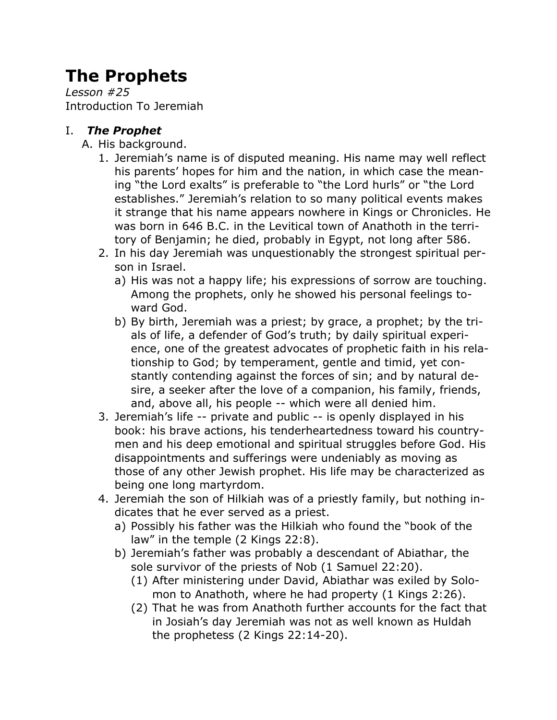# **The Prophets**

*Lesson #25* Introduction To Jeremiah

## I. *The Prophet*

- A. His background.
	- 1. Jeremiah's name is of disputed meaning. His name may well reflect his parents' hopes for him and the nation, in which case the meaning "the Lord exalts" is preferable to "the Lord hurls" or "the Lord establishes." Jeremiah's relation to so many political events makes it strange that his name appears nowhere in Kings or Chronicles. He was born in 646 B.C. in the Levitical town of Anathoth in the territory of Benjamin; he died, probably in Egypt, not long after 586.
	- 2. In his day Jeremiah was unquestionably the strongest spiritual person in Israel.
		- a) His was not a happy life; his expressions of sorrow are touching. Among the prophets, only he showed his personal feelings toward God.
		- b) By birth, Jeremiah was a priest; by grace, a prophet; by the trials of life, a defender of God's truth; by daily spiritual experience, one of the greatest advocates of prophetic faith in his relationship to God; by temperament, gentle and timid, yet constantly contending against the forces of sin; and by natural desire, a seeker after the love of a companion, his family, friends, and, above all, his people -- which were all denied him.
	- 3. Jeremiah's life -- private and public -- is openly displayed in his book: his brave actions, his tenderheartedness toward his countrymen and his deep emotional and spiritual struggles before God. His disappointments and sufferings were undeniably as moving as those of any other Jewish prophet. His life may be characterized as being one long martyrdom.
	- 4. Jeremiah the son of Hilkiah was of a priestly family, but nothing indicates that he ever served as a priest.
		- a) Possibly his father was the Hilkiah who found the "book of the law" in the temple (2 Kings 22:8).
		- b) Jeremiah's father was probably a descendant of Abiathar, the sole survivor of the priests of Nob (1 Samuel 22:20).
			- (1) After ministering under David, Abiathar was exiled by Solomon to Anathoth, where he had property (1 Kings 2:26).
			- (2) That he was from Anathoth further accounts for the fact that in Josiah's day Jeremiah was not as well known as Huldah the prophetess (2 Kings 22:14-20).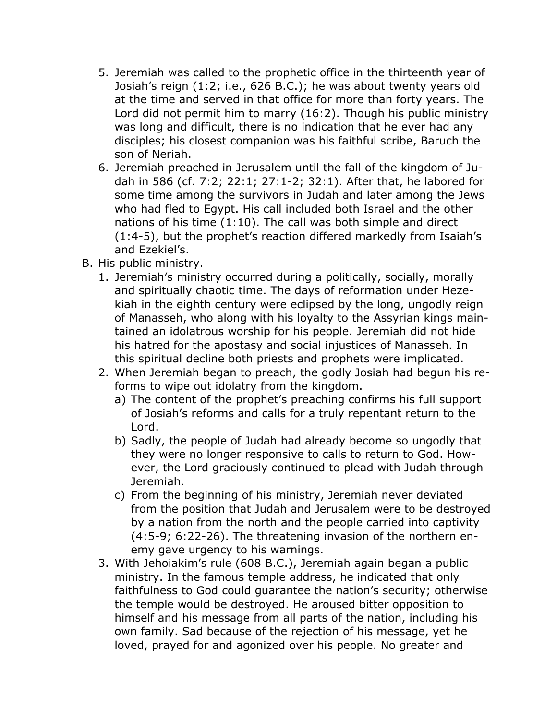- 5. Jeremiah was called to the prophetic office in the thirteenth year of Josiah's reign (1:2; i.e., 626 B.C.); he was about twenty years old at the time and served in that office for more than forty years. The Lord did not permit him to marry (16:2). Though his public ministry was long and difficult, there is no indication that he ever had any disciples; his closest companion was his faithful scribe, Baruch the son of Neriah.
- 6. Jeremiah preached in Jerusalem until the fall of the kingdom of Judah in 586 (cf. 7:2; 22:1; 27:1-2; 32:1). After that, he labored for some time among the survivors in Judah and later among the Jews who had fled to Egypt. His call included both Israel and the other nations of his time (1:10). The call was both simple and direct (1:4-5), but the prophet's reaction differed markedly from Isaiah's and Ezekiel's.
- B. His public ministry.
	- 1. Jeremiah's ministry occurred during a politically, socially, morally and spiritually chaotic time. The days of reformation under Hezekiah in the eighth century were eclipsed by the long, ungodly reign of Manasseh, who along with his loyalty to the Assyrian kings maintained an idolatrous worship for his people. Jeremiah did not hide his hatred for the apostasy and social injustices of Manasseh. In this spiritual decline both priests and prophets were implicated.
	- 2. When Jeremiah began to preach, the godly Josiah had begun his reforms to wipe out idolatry from the kingdom.
		- a) The content of the prophet's preaching confirms his full support of Josiah's reforms and calls for a truly repentant return to the Lord.
		- b) Sadly, the people of Judah had already become so ungodly that they were no longer responsive to calls to return to God. However, the Lord graciously continued to plead with Judah through Jeremiah.
		- c) From the beginning of his ministry, Jeremiah never deviated from the position that Judah and Jerusalem were to be destroyed by a nation from the north and the people carried into captivity (4:5-9; 6:22-26). The threatening invasion of the northern enemy gave urgency to his warnings.
	- 3. With Jehoiakim's rule (608 B.C.), Jeremiah again began a public ministry. In the famous temple address, he indicated that only faithfulness to God could guarantee the nation's security; otherwise the temple would be destroyed. He aroused bitter opposition to himself and his message from all parts of the nation, including his own family. Sad because of the rejection of his message, yet he loved, prayed for and agonized over his people. No greater and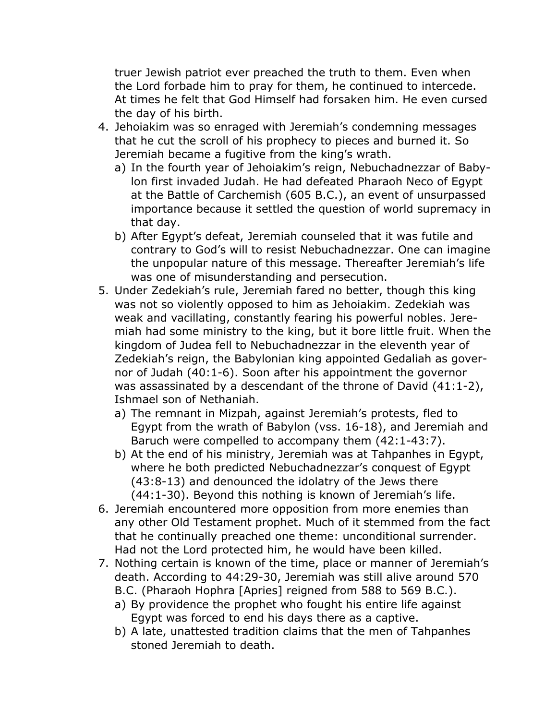truer Jewish patriot ever preached the truth to them. Even when the Lord forbade him to pray for them, he continued to intercede. At times he felt that God Himself had forsaken him. He even cursed the day of his birth.

- 4. Jehoiakim was so enraged with Jeremiah's condemning messages that he cut the scroll of his prophecy to pieces and burned it. So Jeremiah became a fugitive from the king's wrath.
	- a) In the fourth year of Jehoiakim's reign, Nebuchadnezzar of Babylon first invaded Judah. He had defeated Pharaoh Neco of Egypt at the Battle of Carchemish (605 B.C.), an event of unsurpassed importance because it settled the question of world supremacy in that day.
	- b) After Egypt's defeat, Jeremiah counseled that it was futile and contrary to God's will to resist Nebuchadnezzar. One can imagine the unpopular nature of this message. Thereafter Jeremiah's life was one of misunderstanding and persecution.
- 5. Under Zedekiah's rule, Jeremiah fared no better, though this king was not so violently opposed to him as Jehoiakim. Zedekiah was weak and vacillating, constantly fearing his powerful nobles. Jeremiah had some ministry to the king, but it bore little fruit. When the kingdom of Judea fell to Nebuchadnezzar in the eleventh year of Zedekiah's reign, the Babylonian king appointed Gedaliah as governor of Judah (40:1-6). Soon after his appointment the governor was assassinated by a descendant of the throne of David (41:1-2), Ishmael son of Nethaniah.
	- a) The remnant in Mizpah, against Jeremiah's protests, fled to Egypt from the wrath of Babylon (vss. 16-18), and Jeremiah and Baruch were compelled to accompany them (42:1-43:7).
	- b) At the end of his ministry, Jeremiah was at Tahpanhes in Egypt, where he both predicted Nebuchadnezzar's conquest of Egypt (43:8-13) and denounced the idolatry of the Jews there (44:1-30). Beyond this nothing is known of Jeremiah's life.
- 6. Jeremiah encountered more opposition from more enemies than any other Old Testament prophet. Much of it stemmed from the fact that he continually preached one theme: unconditional surrender. Had not the Lord protected him, he would have been killed.
- 7. Nothing certain is known of the time, place or manner of Jeremiah's death. According to 44:29-30, Jeremiah was still alive around 570 B.C. (Pharaoh Hophra [Apries] reigned from 588 to 569 B.C.).
	- a) By providence the prophet who fought his entire life against Egypt was forced to end his days there as a captive.
	- b) A late, unattested tradition claims that the men of Tahpanhes stoned Jeremiah to death.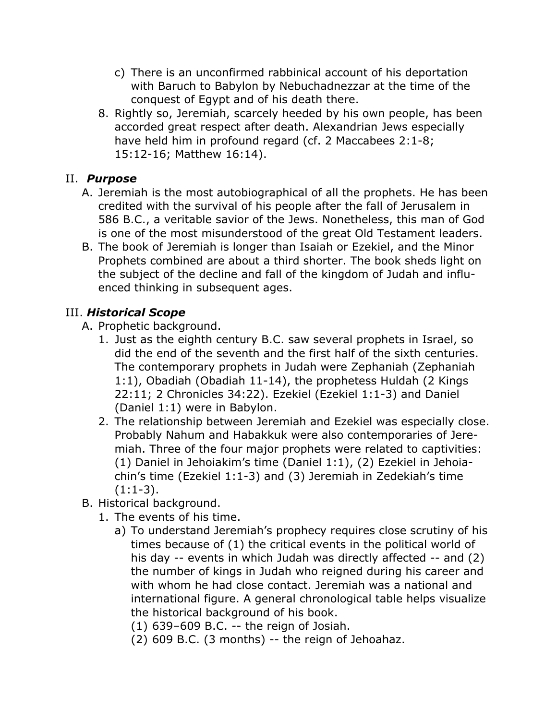- c) There is an unconfirmed rabbinical account of his deportation with Baruch to Babylon by Nebuchadnezzar at the time of the conquest of Egypt and of his death there.
- 8. Rightly so, Jeremiah, scarcely heeded by his own people, has been accorded great respect after death. Alexandrian Jews especially have held him in profound regard (cf. 2 Maccabees 2:1-8; 15:12-16; Matthew 16:14).

#### II. *Purpose*

- A. Jeremiah is the most autobiographical of all the prophets. He has been credited with the survival of his people after the fall of Jerusalem in 586 B.C., a veritable savior of the Jews. Nonetheless, this man of God is one of the most misunderstood of the great Old Testament leaders.
- B. The book of Jeremiah is longer than Isaiah or Ezekiel, and the Minor Prophets combined are about a third shorter. The book sheds light on the subject of the decline and fall of the kingdom of Judah and influenced thinking in subsequent ages.

## III. *Historical Scope*

- A. Prophetic background.
	- 1. Just as the eighth century B.C. saw several prophets in Israel, so did the end of the seventh and the first half of the sixth centuries. The contemporary prophets in Judah were Zephaniah (Zephaniah 1:1), Obadiah (Obadiah 11-14), the prophetess Huldah (2 Kings 22:11; 2 Chronicles 34:22). Ezekiel (Ezekiel 1:1-3) and Daniel (Daniel 1:1) were in Babylon.
	- 2. The relationship between Jeremiah and Ezekiel was especially close. Probably Nahum and Habakkuk were also contemporaries of Jeremiah. Three of the four major prophets were related to captivities: (1) Daniel in Jehoiakim's time (Daniel 1:1), (2) Ezekiel in Jehoiachin's time (Ezekiel 1:1-3) and (3) Jeremiah in Zedekiah's time  $(1:1-3)$ .
- B. Historical background.
	- 1. The events of his time.
		- a) To understand Jeremiah's prophecy requires close scrutiny of his times because of (1) the critical events in the political world of his day -- events in which Judah was directly affected -- and (2) the number of kings in Judah who reigned during his career and with whom he had close contact. Jeremiah was a national and international figure. A general chronological table helps visualize the historical background of his book.
			- (1) 639–609 B.C. -- the reign of Josiah.
			- (2) 609 B.C. (3 months) -- the reign of Jehoahaz.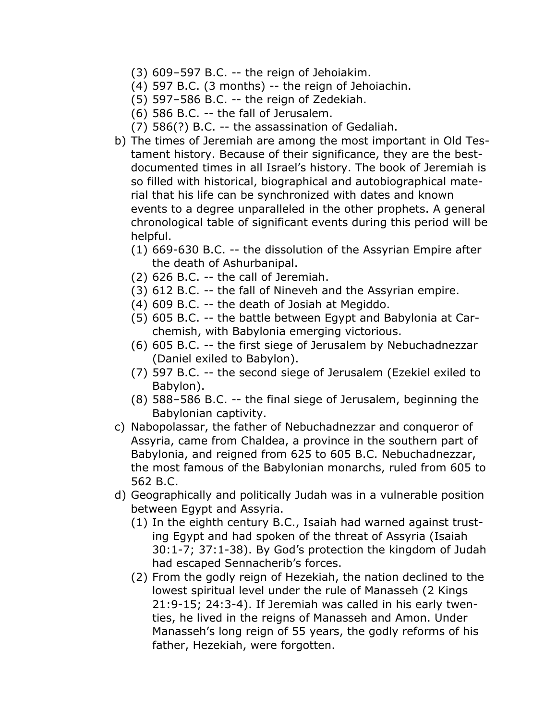- (3) 609–597 B.C. -- the reign of Jehoiakim.
- (4) 597 B.C. (3 months) -- the reign of Jehoiachin.
- (5) 597–586 B.C. -- the reign of Zedekiah.
- (6) 586 B.C. -- the fall of Jerusalem.
- (7) 586(?) B.C. -- the assassination of Gedaliah.
- b) The times of Jeremiah are among the most important in Old Testament history. Because of their significance, they are the bestdocumented times in all Israel's history. The book of Jeremiah is so filled with historical, biographical and autobiographical material that his life can be synchronized with dates and known events to a degree unparalleled in the other prophets. A general chronological table of significant events during this period will be helpful.
	- (1) 669-630 B.C. -- the dissolution of the Assyrian Empire after the death of Ashurbanipal.
	- (2) 626 B.C. -- the call of Jeremiah.
	- (3) 612 B.C. -- the fall of Nineveh and the Assyrian empire.
	- (4) 609 B.C. -- the death of Josiah at Megiddo.
	- (5) 605 B.C. -- the battle between Egypt and Babylonia at Carchemish, with Babylonia emerging victorious.
	- (6) 605 B.C. -- the first siege of Jerusalem by Nebuchadnezzar (Daniel exiled to Babylon).
	- (7) 597 B.C. -- the second siege of Jerusalem (Ezekiel exiled to Babylon).
	- (8) 588–586 B.C. -- the final siege of Jerusalem, beginning the Babylonian captivity.
- c) Nabopolassar, the father of Nebuchadnezzar and conqueror of Assyria, came from Chaldea, a province in the southern part of Babylonia, and reigned from 625 to 605 B.C. Nebuchadnezzar, the most famous of the Babylonian monarchs, ruled from 605 to 562 B.C.
- d) Geographically and politically Judah was in a vulnerable position between Egypt and Assyria.
	- (1) In the eighth century B.C., Isaiah had warned against trusting Egypt and had spoken of the threat of Assyria (Isaiah 30:1-7; 37:1-38). By God's protection the kingdom of Judah had escaped Sennacherib's forces.
	- (2) From the godly reign of Hezekiah, the nation declined to the lowest spiritual level under the rule of Manasseh (2 Kings 21:9-15; 24:3-4). If Jeremiah was called in his early twenties, he lived in the reigns of Manasseh and Amon. Under Manasseh's long reign of 55 years, the godly reforms of his father, Hezekiah, were forgotten.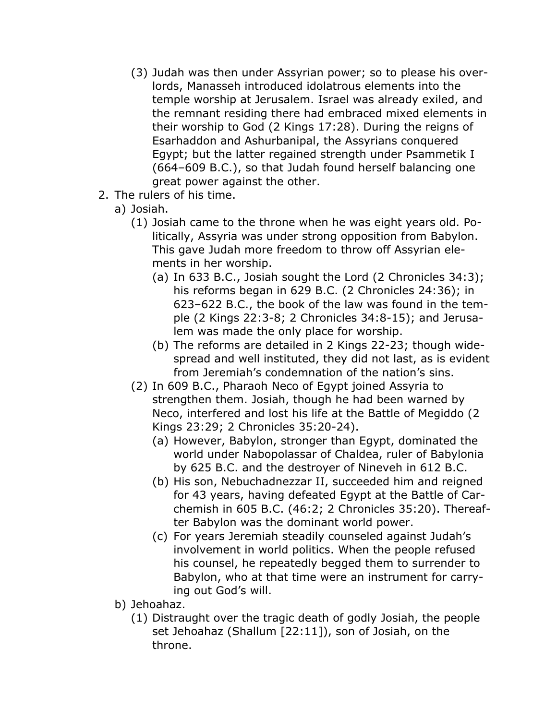- (3) Judah was then under Assyrian power; so to please his overlords, Manasseh introduced idolatrous elements into the temple worship at Jerusalem. Israel was already exiled, and the remnant residing there had embraced mixed elements in their worship to God (2 Kings 17:28). During the reigns of Esarhaddon and Ashurbanipal, the Assyrians conquered Egypt; but the latter regained strength under Psammetik I (664–609 B.C.), so that Judah found herself balancing one great power against the other.
- 2. The rulers of his time.
	- a) Josiah.
		- (1) Josiah came to the throne when he was eight years old. Politically, Assyria was under strong opposition from Babylon. This gave Judah more freedom to throw off Assyrian elements in her worship.
			- (a) In 633 B.C., Josiah sought the Lord (2 Chronicles 34:3); his reforms began in 629 B.C. (2 Chronicles 24:36); in 623–622 B.C., the book of the law was found in the temple (2 Kings 22:3-8; 2 Chronicles 34:8-15); and Jerusalem was made the only place for worship.
			- (b) The reforms are detailed in 2 Kings 22-23; though widespread and well instituted, they did not last, as is evident from Jeremiah's condemnation of the nation's sins.
		- (2) In 609 B.C., Pharaoh Neco of Egypt joined Assyria to strengthen them. Josiah, though he had been warned by Neco, interfered and lost his life at the Battle of Megiddo (2 Kings 23:29; 2 Chronicles 35:20-24).
			- (a) However, Babylon, stronger than Egypt, dominated the world under Nabopolassar of Chaldea, ruler of Babylonia by 625 B.C. and the destroyer of Nineveh in 612 B.C.
			- (b) His son, Nebuchadnezzar II, succeeded him and reigned for 43 years, having defeated Egypt at the Battle of Carchemish in 605 B.C. (46:2; 2 Chronicles 35:20). Thereafter Babylon was the dominant world power.
			- (c) For years Jeremiah steadily counseled against Judah's involvement in world politics. When the people refused his counsel, he repeatedly begged them to surrender to Babylon, who at that time were an instrument for carrying out God's will.
	- b) Jehoahaz.
		- (1) Distraught over the tragic death of godly Josiah, the people set Jehoahaz (Shallum [22:11]), son of Josiah, on the throne.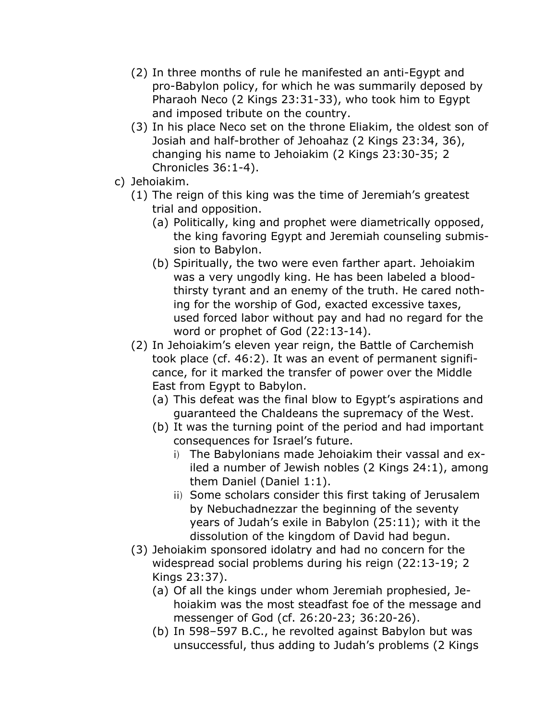- (2) In three months of rule he manifested an anti-Egypt and pro-Babylon policy, for which he was summarily deposed by Pharaoh Neco (2 Kings 23:31-33), who took him to Egypt and imposed tribute on the country.
- (3) In his place Neco set on the throne Eliakim, the oldest son of Josiah and half-brother of Jehoahaz (2 Kings 23:34, 36), changing his name to Jehoiakim (2 Kings 23:30-35; 2 Chronicles 36:1-4).
- c) Jehoiakim.
	- (1) The reign of this king was the time of Jeremiah's greatest trial and opposition.
		- (a) Politically, king and prophet were diametrically opposed, the king favoring Egypt and Jeremiah counseling submission to Babylon.
		- (b) Spiritually, the two were even farther apart. Jehoiakim was a very ungodly king. He has been labeled a bloodthirsty tyrant and an enemy of the truth. He cared nothing for the worship of God, exacted excessive taxes, used forced labor without pay and had no regard for the word or prophet of God (22:13-14).
	- (2) In Jehoiakim's eleven year reign, the Battle of Carchemish took place (cf. 46:2). It was an event of permanent significance, for it marked the transfer of power over the Middle East from Egypt to Babylon.
		- (a) This defeat was the final blow to Egypt's aspirations and guaranteed the Chaldeans the supremacy of the West.
		- (b) It was the turning point of the period and had important consequences for Israel's future.
			- i) The Babylonians made Jehoiakim their vassal and exiled a number of Jewish nobles (2 Kings 24:1), among them Daniel (Daniel 1:1).
			- ii) Some scholars consider this first taking of Jerusalem by Nebuchadnezzar the beginning of the seventy years of Judah's exile in Babylon (25:11); with it the dissolution of the kingdom of David had begun.
	- (3) Jehoiakim sponsored idolatry and had no concern for the widespread social problems during his reign (22:13-19; 2 Kings 23:37).
		- (a) Of all the kings under whom Jeremiah prophesied, Jehoiakim was the most steadfast foe of the message and messenger of God (cf. 26:20-23; 36:20-26).
		- (b) In 598–597 B.C., he revolted against Babylon but was unsuccessful, thus adding to Judah's problems (2 Kings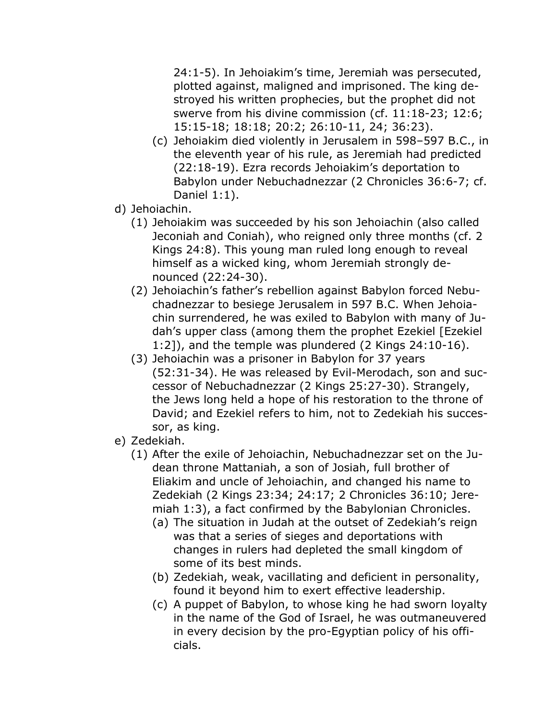24:1-5). In Jehoiakim's time, Jeremiah was persecuted, plotted against, maligned and imprisoned. The king destroyed his written prophecies, but the prophet did not swerve from his divine commission (cf. 11:18-23; 12:6; 15:15-18; 18:18; 20:2; 26:10-11, 24; 36:23).

- (c) Jehoiakim died violently in Jerusalem in 598–597 B.C., in the eleventh year of his rule, as Jeremiah had predicted (22:18-19). Ezra records Jehoiakim's deportation to Babylon under Nebuchadnezzar (2 Chronicles 36:6-7; cf. Daniel 1:1).
- d) Jehoiachin.
	- (1) Jehoiakim was succeeded by his son Jehoiachin (also called Jeconiah and Coniah), who reigned only three months (cf. 2 Kings 24:8). This young man ruled long enough to reveal himself as a wicked king, whom Jeremiah strongly denounced (22:24-30).
	- (2) Jehoiachin's father's rebellion against Babylon forced Nebuchadnezzar to besiege Jerusalem in 597 B.C. When Jehoiachin surrendered, he was exiled to Babylon with many of Judah's upper class (among them the prophet Ezekiel [Ezekiel 1:2]), and the temple was plundered (2 Kings 24:10-16).
	- (3) Jehoiachin was a prisoner in Babylon for 37 years (52:31-34). He was released by Evil-Merodach, son and successor of Nebuchadnezzar (2 Kings 25:27-30). Strangely, the Jews long held a hope of his restoration to the throne of David; and Ezekiel refers to him, not to Zedekiah his successor, as king.
- e) Zedekiah.
	- (1) After the exile of Jehoiachin, Nebuchadnezzar set on the Judean throne Mattaniah, a son of Josiah, full brother of Eliakim and uncle of Jehoiachin, and changed his name to Zedekiah (2 Kings 23:34; 24:17; 2 Chronicles 36:10; Jeremiah 1:3), a fact confirmed by the Babylonian Chronicles.
		- (a) The situation in Judah at the outset of Zedekiah's reign was that a series of sieges and deportations with changes in rulers had depleted the small kingdom of some of its best minds.
		- (b) Zedekiah, weak, vacillating and deficient in personality, found it beyond him to exert effective leadership.
		- (c) A puppet of Babylon, to whose king he had sworn loyalty in the name of the God of Israel, he was outmaneuvered in every decision by the pro-Egyptian policy of his officials.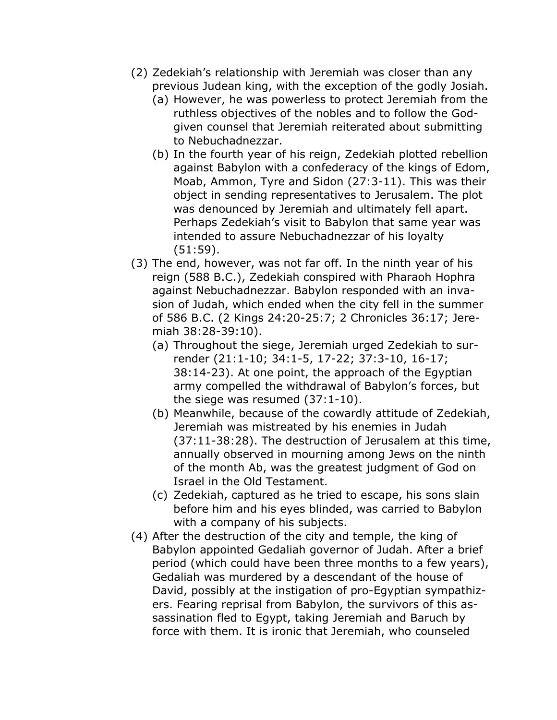- (2) Zedekiah's relationship with Jeremiah was closer than any previous Judean king, with the exception of the godly Josiah.
	- (a) However, he was powerless to protect Jeremiah from the ruthless objectives of the nobles and to follow the Godgiven counsel that Jeremiah reiterated about submitting to Nebuchadnezzar.
	- (b) In the fourth year of his reign, Zedekiah plotted rebellion against Babylon with a confederacy of the kings of Edom, Moab, Ammon, Tyre and Sidon (27:3-11). This was their object in sending representatives to Jerusalem. The plot was denounced by Jeremiah and ultimately fell apart. Perhaps Zedekiah's visit to Babylon that same year was intended to assure Nebuchadnezzar of his loyalty (51:59).
- (3) The end, however, was not far off. In the ninth year of his reign (588 B.C.), Zedekiah conspired with Pharaoh Hophra against Nebuchadnezzar. Babylon responded with an invasion of Judah, which ended when the city fell in the summer of 586 B.C. (2 Kings 24:20-25:7; 2 Chronicles 36:17; Jeremiah 38:28-39:10).
	- (a) Throughout the siege, Jeremiah urged Zedekiah to surrender (21:1-10; 34:1-5, 17-22; 37:3-10, 16-17; 38:14-23). At one point, the approach of the Egyptian army compelled the withdrawal of Babylon's forces, but the siege was resumed (37:1-10).
	- (b) Meanwhile, because of the cowardly attitude of Zedekiah, Jeremiah was mistreated by his enemies in Judah (37:11-38:28). The destruction of Jerusalem at this time, annually observed in mourning among Jews on the ninth of the month Ab, was the greatest judgment of God on Israel in the Old Testament.
	- (c) Zedekiah, captured as he tried to escape, his sons slain before him and his eyes blinded, was carried to Babylon with a company of his subjects.
- (4) After the destruction of the city and temple, the king of Babylon appointed Gedaliah governor of Judah. After a brief period (which could have been three months to a few years), Gedaliah was murdered by a descendant of the house of David, possibly at the instigation of pro-Egyptian sympathizers. Fearing reprisal from Babylon, the survivors of this assassination fled to Egypt, taking Jeremiah and Baruch by force with them. It is ironic that Jeremiah, who counseled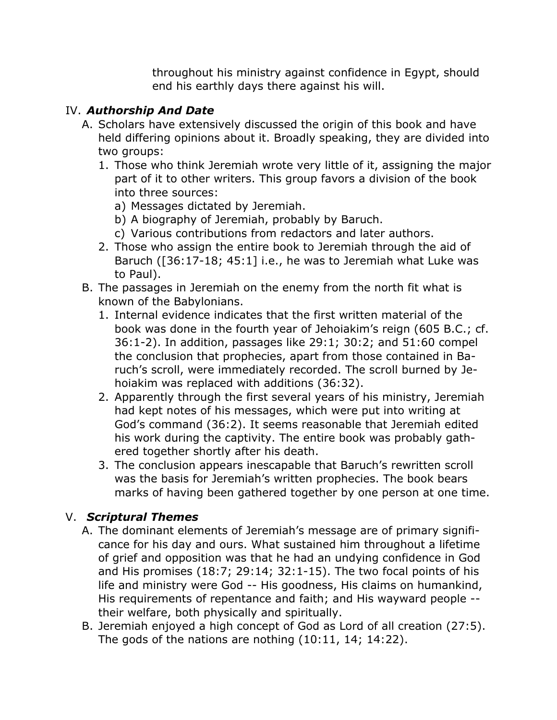throughout his ministry against confidence in Egypt, should end his earthly days there against his will.

### IV. *Authorship And Date*

- A. Scholars have extensively discussed the origin of this book and have held differing opinions about it. Broadly speaking, they are divided into two groups:
	- 1. Those who think Jeremiah wrote very little of it, assigning the major part of it to other writers. This group favors a division of the book into three sources:
		- a) Messages dictated by Jeremiah.
		- b) A biography of Jeremiah, probably by Baruch.
		- c) Various contributions from redactors and later authors.
	- 2. Those who assign the entire book to Jeremiah through the aid of Baruch ([36:17-18; 45:1] i.e., he was to Jeremiah what Luke was to Paul).
- B. The passages in Jeremiah on the enemy from the north fit what is known of the Babylonians.
	- 1. Internal evidence indicates that the first written material of the book was done in the fourth year of Jehoiakim's reign (605 B.C.; cf. 36:1-2). In addition, passages like 29:1; 30:2; and 51:60 compel the conclusion that prophecies, apart from those contained in Baruch's scroll, were immediately recorded. The scroll burned by Jehoiakim was replaced with additions (36:32).
	- 2. Apparently through the first several years of his ministry, Jeremiah had kept notes of his messages, which were put into writing at God's command (36:2). It seems reasonable that Jeremiah edited his work during the captivity. The entire book was probably gathered together shortly after his death.
	- 3. The conclusion appears inescapable that Baruch's rewritten scroll was the basis for Jeremiah's written prophecies. The book bears marks of having been gathered together by one person at one time.

#### V. *Scriptural Themes*

- A. The dominant elements of Jeremiah's message are of primary significance for his day and ours. What sustained him throughout a lifetime of grief and opposition was that he had an undying confidence in God and His promises (18:7; 29:14; 32:1-15). The two focal points of his life and ministry were God -- His goodness, His claims on humankind, His requirements of repentance and faith; and His wayward people - their welfare, both physically and spiritually.
- B. Jeremiah enjoyed a high concept of God as Lord of all creation (27:5). The gods of the nations are nothing (10:11, 14; 14:22).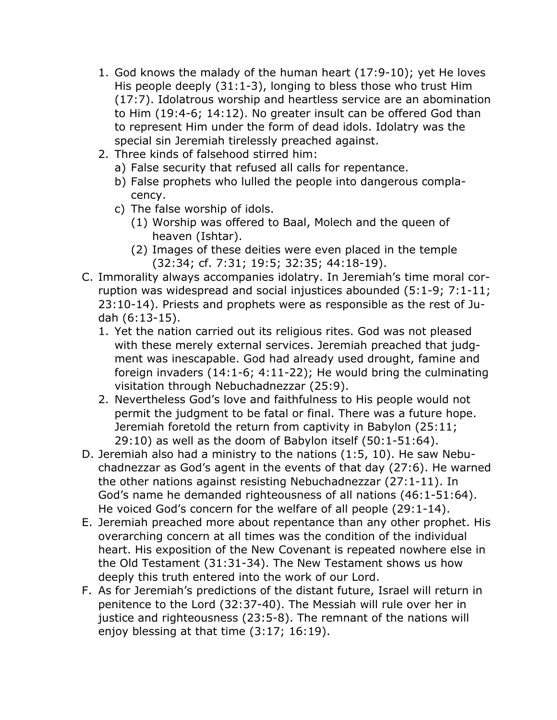- 1. God knows the malady of the human heart (17:9-10); yet He loves His people deeply (31:1-3), longing to bless those who trust Him (17:7). Idolatrous worship and heartless service are an abomination to Him (19:4-6; 14:12). No greater insult can be offered God than to represent Him under the form of dead idols. Idolatry was the special sin Jeremiah tirelessly preached against.
- 2. Three kinds of falsehood stirred him:
	- a) False security that refused all calls for repentance.
	- b) False prophets who lulled the people into dangerous complacency.
	- c) The false worship of idols.
		- (1) Worship was offered to Baal, Molech and the queen of heaven (Ishtar).
		- (2) Images of these deities were even placed in the temple (32:34; cf. 7:31; 19:5; 32:35; 44:18-19).
- C. Immorality always accompanies idolatry. In Jeremiah's time moral corruption was widespread and social injustices abounded (5:1-9; 7:1-11; 23:10-14). Priests and prophets were as responsible as the rest of Judah (6:13-15).
	- 1. Yet the nation carried out its religious rites. God was not pleased with these merely external services. Jeremiah preached that judgment was inescapable. God had already used drought, famine and foreign invaders (14:1-6; 4:11-22); He would bring the culminating visitation through Nebuchadnezzar (25:9).
	- 2. Nevertheless God's love and faithfulness to His people would not permit the judgment to be fatal or final. There was a future hope. Jeremiah foretold the return from captivity in Babylon (25:11; 29:10) as well as the doom of Babylon itself (50:1-51:64).
- D. Jeremiah also had a ministry to the nations (1:5, 10). He saw Nebuchadnezzar as God's agent in the events of that day (27:6). He warned the other nations against resisting Nebuchadnezzar (27:1-11). In God's name he demanded righteousness of all nations (46:1-51:64). He voiced God's concern for the welfare of all people (29:1-14).
- E. Jeremiah preached more about repentance than any other prophet. His overarching concern at all times was the condition of the individual heart. His exposition of the New Covenant is repeated nowhere else in the Old Testament (31:31-34). The New Testament shows us how deeply this truth entered into the work of our Lord.
- F. As for Jeremiah's predictions of the distant future, Israel will return in penitence to the Lord (32:37-40). The Messiah will rule over her in justice and righteousness (23:5-8). The remnant of the nations will enjoy blessing at that time (3:17; 16:19).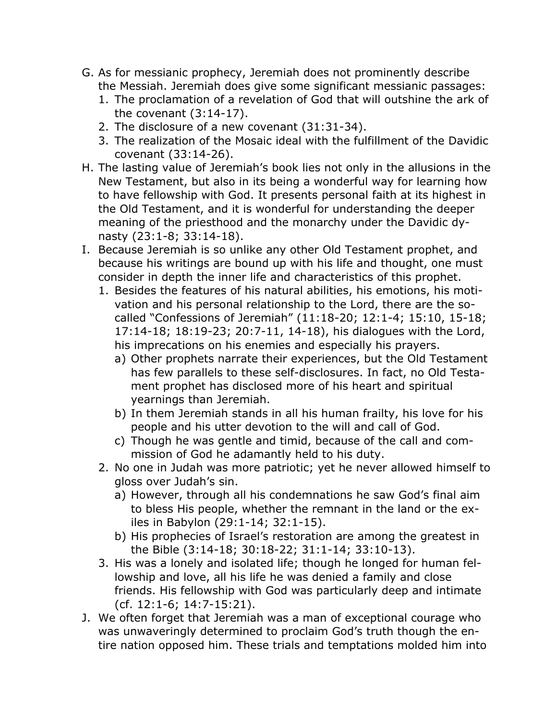- G. As for messianic prophecy, Jeremiah does not prominently describe the Messiah. Jeremiah does give some significant messianic passages:
	- 1. The proclamation of a revelation of God that will outshine the ark of the covenant (3:14-17).
	- 2. The disclosure of a new covenant (31:31-34).
	- 3. The realization of the Mosaic ideal with the fulfillment of the Davidic covenant (33:14-26).
- H. The lasting value of Jeremiah's book lies not only in the allusions in the New Testament, but also in its being a wonderful way for learning how to have fellowship with God. It presents personal faith at its highest in the Old Testament, and it is wonderful for understanding the deeper meaning of the priesthood and the monarchy under the Davidic dynasty (23:1-8; 33:14-18).
- I. Because Jeremiah is so unlike any other Old Testament prophet, and because his writings are bound up with his life and thought, one must consider in depth the inner life and characteristics of this prophet.
	- 1. Besides the features of his natural abilities, his emotions, his motivation and his personal relationship to the Lord, there are the socalled "Confessions of Jeremiah" (11:18-20; 12:1-4; 15:10, 15-18; 17:14-18; 18:19-23; 20:7-11, 14-18), his dialogues with the Lord, his imprecations on his enemies and especially his prayers.
		- a) Other prophets narrate their experiences, but the Old Testament has few parallels to these self-disclosures. In fact, no Old Testament prophet has disclosed more of his heart and spiritual yearnings than Jeremiah.
		- b) In them Jeremiah stands in all his human frailty, his love for his people and his utter devotion to the will and call of God.
		- c) Though he was gentle and timid, because of the call and commission of God he adamantly held to his duty.
	- 2. No one in Judah was more patriotic; yet he never allowed himself to gloss over Judah's sin.
		- a) However, through all his condemnations he saw God's final aim to bless His people, whether the remnant in the land or the exiles in Babylon (29:1-14; 32:1-15).
		- b) His prophecies of Israel's restoration are among the greatest in the Bible (3:14-18; 30:18-22; 31:1-14; 33:10-13).
	- 3. His was a lonely and isolated life; though he longed for human fellowship and love, all his life he was denied a family and close friends. His fellowship with God was particularly deep and intimate (cf. 12:1-6; 14:7-15:21).
- J. We often forget that Jeremiah was a man of exceptional courage who was unwaveringly determined to proclaim God's truth though the entire nation opposed him. These trials and temptations molded him into